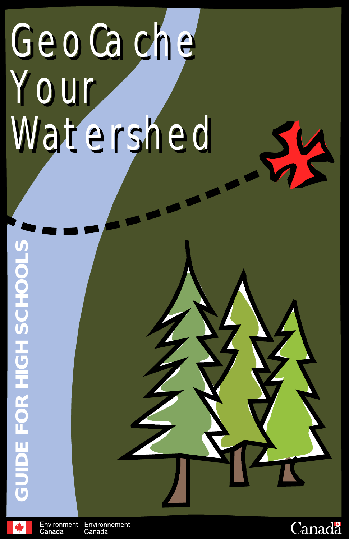# GeoCache GeoCache Your Watershed Watershed



Environment Environnement Canada Canada

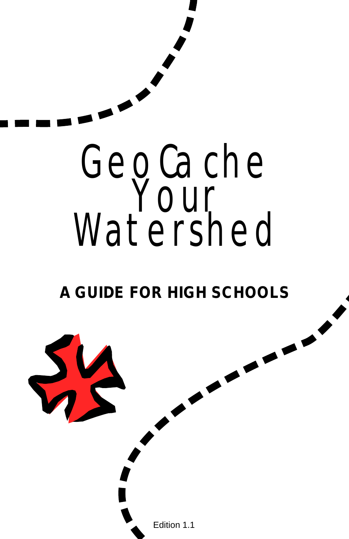

Edition 1.1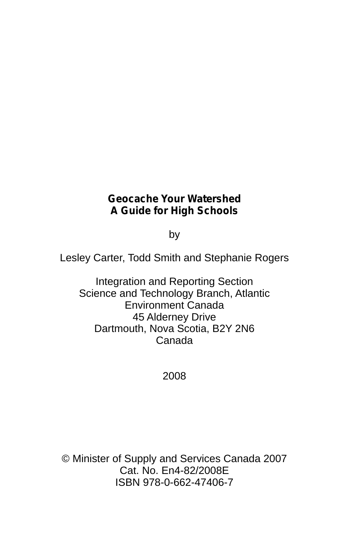#### **Geocache Your Watershed A Guide for High Schools**

by

Lesley Carter, Todd Smith and Stephanie Rogers

Integration and Reporting Section Science and Technology Branch, Atlantic Environment Canada 45 Alderney Drive Dartmouth, Nova Scotia, B2Y 2N6 Canada

2008

© Minister of Supply and Services Canada 2007 Cat. No. En4-82/2008E ISBN 978-0-662-47406-7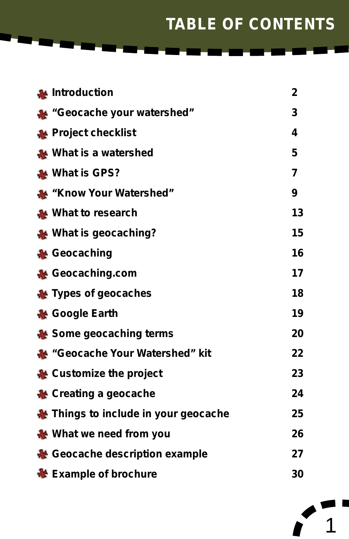# **TABLE OF CONTENTS**

| <b>A</b> Introduction              | 2              |
|------------------------------------|----------------|
| "Geocache your watershed"          | 3              |
| Project checklist                  | 4              |
| What is a watershed                | 5              |
| What is GPS?                       | $\overline{7}$ |
| <b>Know Your Watershed</b> "       | 9              |
| What to research                   | 13             |
| ₩ What is geocaching?              | 15             |
| ₩ Geocaching                       | 16             |
| ₩ Geocaching.com                   | 17             |
| Types of geocaches                 | 18             |
| ₩ Google Earth                     | 19             |
| ₩ Some geocaching terms            | 20             |
| ** "Geocache Your Watershed" kit   | 22             |
| & Customize the project            | 23             |
| ₩ Creating a geocache              | 24             |
| Things to include in your geocache | 25             |
| ₩ What we need from you            | 26             |
| Geocache description example       | 27             |
| <b>N</b> Example of brochure       | 30             |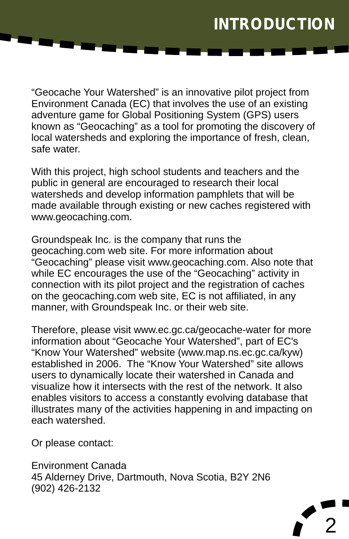### **INTRODUCTION**

"Geocache Your Watershed" is an innovative pilot project from Environment Canada (EC) that involves the use of an existing adventure game for Global Positioning System (GPS) users known as "Geocaching" as a tool for promoting the discovery of local watersheds and exploring the importance of fresh, clean, safe water.

With this project, high school students and teachers and the public in general are encouraged to research their local watersheds and develop information pamphlets that will be made available through existing or new caches registered with www.geocaching.com.

Groundspeak Inc. is the company that runs the geocaching.com web site. For more information about "Geocaching" please visit www.geocaching.com. Also note that while EC encourages the use of the "Geocaching" activity in connection with its pilot project and the registration of caches on the geocaching.com web site, EC is not affiliated, in any manner, with Groundspeak Inc. or their web site.

Therefore, please visit www.ec.gc.ca/geocache-water for more information about "Geocache Your Watershed", part of EC's "Know Your Watershed" website (www.map.ns.ec.gc.ca/kyw) established in 2006. The "Know Your Watershed" site allows users to dynamically locate their watershed in Canada and visualize how it intersects with the rest of the network. It also enables visitors to access a constantly evolving database that illustrates many of the activities happening in and impacting on each watershed.

Or please contact:

Environment Canada 45 Alderney Drive, Dartmouth, Nova Scotia, B2Y 2N6 (902) 426-2132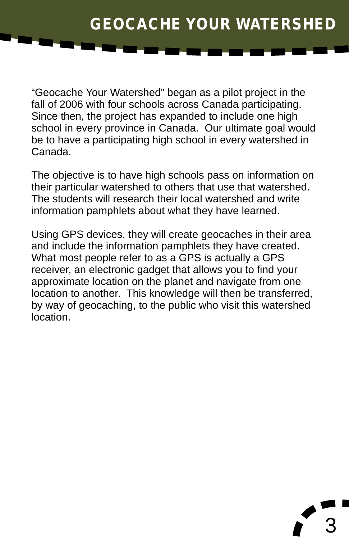"Geocache Your Watershed" began as a pilot project in the fall of 2006 with four schools across Canada participating. Since then, the project has expanded to include one high school in every province in Canada. Our ultimate goal would be to have a participating high school in every watershed in Canada.

The objective is to have high schools pass on information on their particular watershed to others that use that watershed. The students will research their local watershed and write information pamphlets about what they have learned.

Using GPS devices, they will create geocaches in their area and include the information pamphlets they have created. What most people refer to as a GPS is actually a GPS receiver, an electronic gadget that allows you to find your approximate location on the planet and navigate from one location to another. This knowledge will then be transferred, by way of geocaching, to the public who visit this watershed location.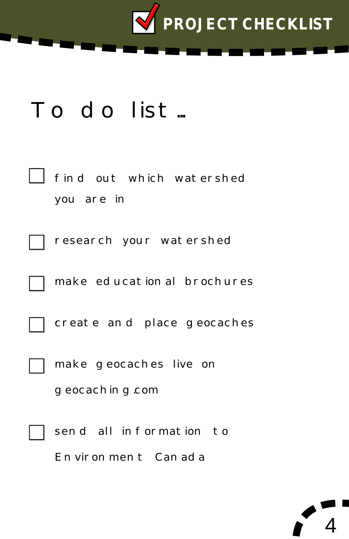

# To do list...

| find out which watershed<br>you are in        |
|-----------------------------------------------|
| research your watershed                       |
| make educational brochures                    |
| create and place geocaches                    |
| make geocaches live on<br>g eocachin g com    |
| send all information to<br>Environment Canada |

<u>/</u>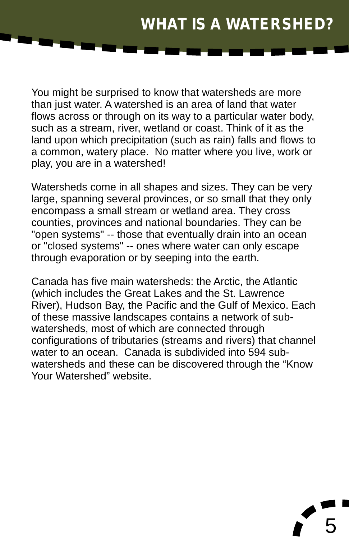# **WHAT IS A WATERSHED?**

5

You might be surprised to know that watersheds are more than just water. A watershed is an area of land that water flows across or through on its way to a particular water body, such as a stream, river, wetland or coast. Think of it as the land upon which precipitation (such as rain) falls and flows to a common, watery place. No matter where you live, work or play, you are in a watershed!

Watersheds come in all shapes and sizes. They can be very large, spanning several provinces, or so small that they only encompass a small stream or wetland area. They cross counties, provinces and national boundaries. They can be "open systems" -- those that eventually drain into an ocean or "closed systems" -- ones where water can only escape through evaporation or by seeping into the earth.

Canada has five main watersheds: the Arctic, the Atlantic (which includes the Great Lakes and the St. Lawrence River), Hudson Bay, the Pacific and the Gulf of Mexico. Each of these massive landscapes contains a network of subwatersheds, most of which are connected through configurations of tributaries (streams and rivers) that channel water to an ocean. Canada is subdivided into 594 subwatersheds and these can be discovered through the "Know Your Watershed" website.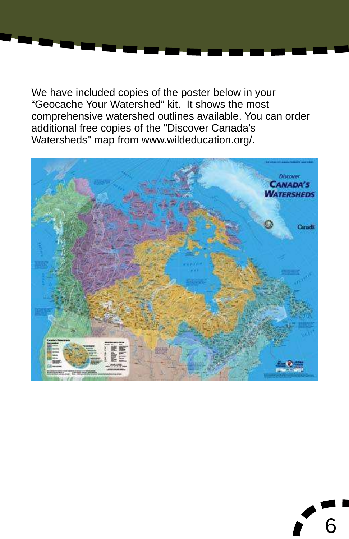We have included copies of the poster below in your "Geocache Your Watershed" kit. It shows the most comprehensive watershed outlines available. You can order additional free copies of the "Discover Canada's Watersheds" map from www.wildeducation.org/.



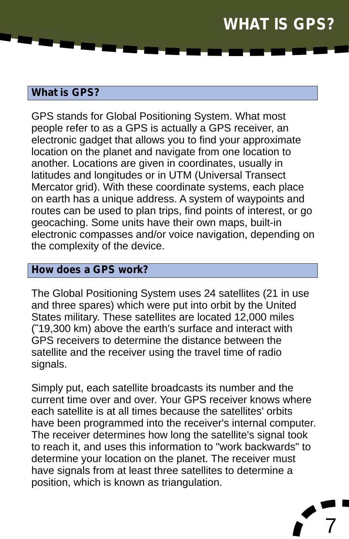### **WHAT IS GPS?**

### **What is GPS?**

GPS stands for Global Positioning System. What most people refer to as a GPS is actually a GPS receiver, an electronic gadget that allows you to find your approximate location on the planet and navigate from one location to another. Locations are given in coordinates, usually in latitudes and longitudes or in UTM (Universal Transect Mercator grid). With these coordinate systems, each place on earth has a unique address. A system of waypoints and routes can be used to plan trips, find points of interest, or go geocaching. Some units have their own maps, built-in electronic compasses and/or voice navigation, depending on the complexity of the device.

### **How does a GPS work?**

The Global Positioning System uses 24 satellites (21 in use and three spares) which were put into orbit by the United States military. These satellites are located 12,000 miles (˜19,300 km) above the earth's surface and interact with GPS receivers to determine the distance between the satellite and the receiver using the travel time of radio signals.

Simply put, each satellite broadcasts its number and the current time over and over. Your GPS receiver knows where each satellite is at all times because the satellites' orbits have been programmed into the receiver's internal computer. The receiver determines how long the satellite's signal took to reach it, and uses this information to "work backwards" to determine your location on the planet. The receiver must have signals from at least three satellites to determine a position, which is known as triangulation.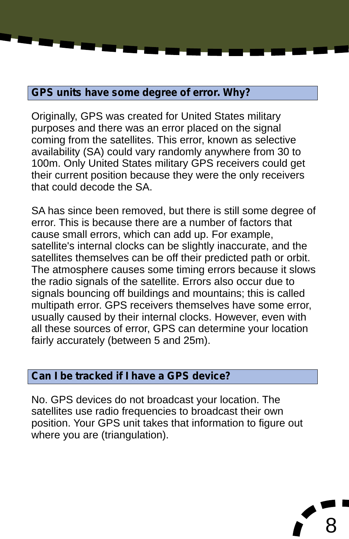### **GPS units have some degree of error. Why?**

Originally, GPS was created for United States military purposes and there was an error placed on the signal coming from the satellites. This error, known as selective availability (SA) could vary randomly anywhere from 30 to 100m. Only United States military GPS receivers could get their current position because they were the only receivers that could decode the SA.

SA has since been removed, but there is still some degree of error. This is because there are a number of factors that cause small errors, which can add up. For example, satellite's internal clocks can be slightly inaccurate, and the satellites themselves can be off their predicted path or orbit. The atmosphere causes some timing errors because it slows the radio signals of the satellite. Errors also occur due to signals bouncing off buildings and mountains; this is called multipath error. GPS receivers themselves have some error, usually caused by their internal clocks. However, even with all these sources of error, GPS can determine your location fairly accurately (between 5 and 25m).

#### **Can I be tracked if I have a GPS device?**

No. GPS devices do not broadcast your location. The satellites use radio frequencies to broadcast their own position. Your GPS unit takes that information to figure out where you are (triangulation).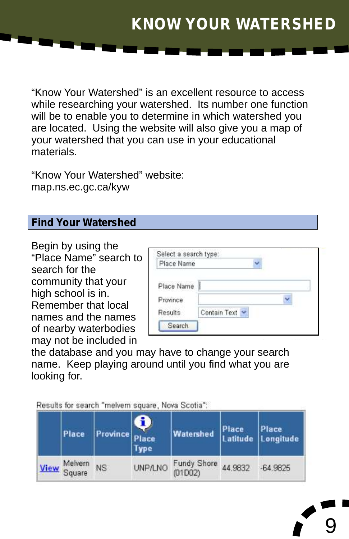### **KNOW YOUR WATERSHED**

"Know Your Watershed" is an excellent resource to access while researching your watershed. Its number one function will be to enable you to determine in which watershed you are located. Using the website will also give you a map of your watershed that you can use in your educational materials.

"Know Your Watershed" website: map.ns.ec.gc.ca/kyw

#### **Find Your Watershed**

Begin by using the "Place Name" search to search for the community that your high school is in. Remember that local names and the names of nearby waterbodies may not be included in

| Place Name              |  |
|-------------------------|--|
|                         |  |
| Province                |  |
| Contain Text<br>Results |  |

9

the database and you may have to change your search name. Keep playing around until you find what you are looking for.

Results for search "melvern square, Nova Scotia";

| Place                  | Province  <sub>n</sub> | Place<br><b>Type</b> | Watershed           |         | Place Place<br>Latitude Longitude |
|------------------------|------------------------|----------------------|---------------------|---------|-----------------------------------|
| Melvern<br>View Square | NS                     |                      | UNP/LNO Fundy Shore | 44.9832 | -64.9825                          |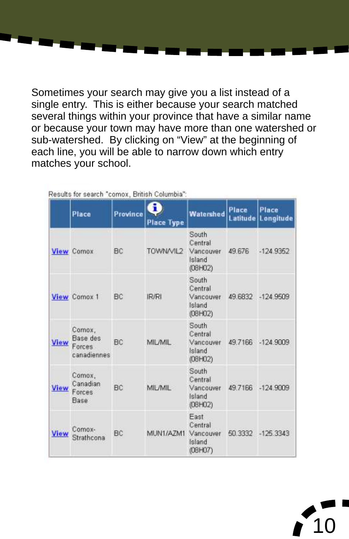Sometimes your search may give you a list instead of a single entry. This is either because your search matched several things within your province that have a similar name or because your town may have more than one watershed or sub-watershed. By clicking on "View" at the beginning of each line, you will be able to narrow down which entry matches your school.

|             | Place                                       | Province | R<br><b>Place Type</b> | Watershed                                          | Place<br>Latitude | Place<br>Longitude |
|-------------|---------------------------------------------|----------|------------------------|----------------------------------------------------|-------------------|--------------------|
|             | <b>View Comox</b>                           | BC       | TOWN/VIL2              | South<br>Central<br>Vancouver<br>Island<br>(08H02) | 49.676            | $-124.9352$        |
|             | View Comox 1                                | BC       | IR/RI                  | South<br>Central<br>Vancouver<br>Island<br>(08H02) | 49.6832           | $-124.9509$        |
| <b>View</b> | Comox,<br>Base des<br>Forces<br>canadiennes | BC       | MIL/MIL                | South<br>Central<br>Vancouver<br>Island<br>(08H02) |                   | 49.7166 -124 9809  |
| <b>View</b> | Comox,<br>Canadian<br>Forces<br>Base        | BC       | MIL/MIL                | South<br>Central<br>Vancouver<br>Island<br>(08H02) | 49.7166           | $-124.9009$        |
| View        | Comox-<br>Strathcona                        | BC       | MUN1/AZM1              | Fast<br>Central<br>Vancouver<br>Island<br>(08H07)  | 50.3332           | 125.3343           |

oults for coorch "comey, Dritich Columbia"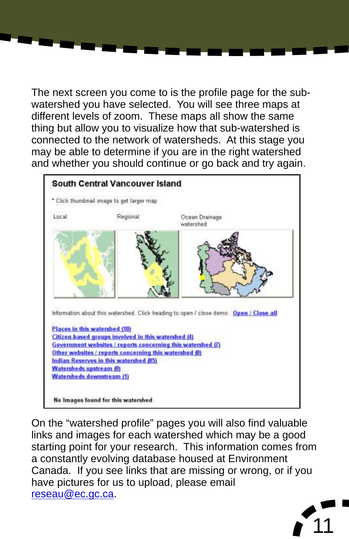The next screen you come to is the profile page for the subwatershed you have selected. You will see three maps at different levels of zoom. These maps all show the same thing but allow you to visualize how that sub-watershed is connected to the network of watersheds. At this stage you may be able to determine if you are in the right watershed and whether you should continue or go back and try again.



On the "watershed profile" pages you will also find valuable links and images for each watershed which may be a good starting point for your research. This information comes from a constantly evolving database housed at Environment Canada. If you see links that are missing or wrong, or if you have pictures for us to upload, please email [reseau@ec.gc.ca](mailto:reseau@ec.gc.ca).

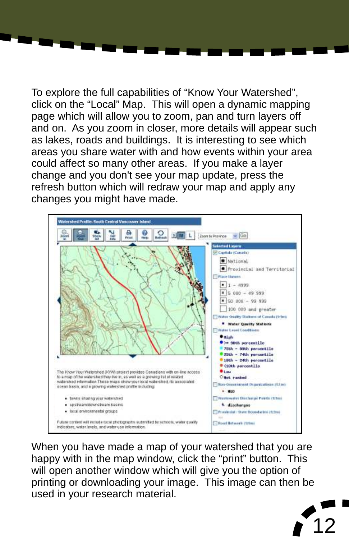To explore the full capabilities of "Know Your Watershed", click on the "Local" Map. This will open a dynamic mapping page which will allow you to zoom, pan and turn layers off and on. As you zoom in closer, more details will appear such as lakes, roads and buildings. It is interesting to see which areas you share water with and how events within your area could affect so many other areas. If you make a layer change and you don't see your map update, press the refresh button which will redraw your map and apply any changes you might have made.



When you have made a map of your watershed that you are happy with in the map window, click the "print" button. This will open another window which will give you the option of printing or downloading your image. This image can then be used in your research material.

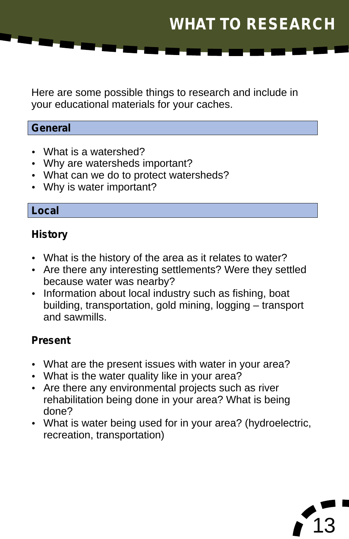Here are some possible things to research and include in your educational materials for your caches.

### **General**

- 
- What is a watershed?<br>• Why are watersheds important?
- Why are watersheds important?<br>• What can we do to protect water • What can we do to protect watersheds?<br>• Why is water important?
- Why is water important?

#### **Local**

### **History**

- 
- ??What is the history of the area as it relates to water? Are there any interesting settlements? Were they settled
- ?because water was nearby? Information about local industry such as fishing, boat building, transportation, gold mining, logging – transport and sawmills.

### **Present**

- What are the present issues with water in your area?<br>• What is the water quality like in your area?
- 
- ?What is the water quality like in your area? Are there any environmental projects such as river rehabilitation being done in your area? What is being
- ?done? What is water being used for in your area? (hydroelectric, recreation, transportation)

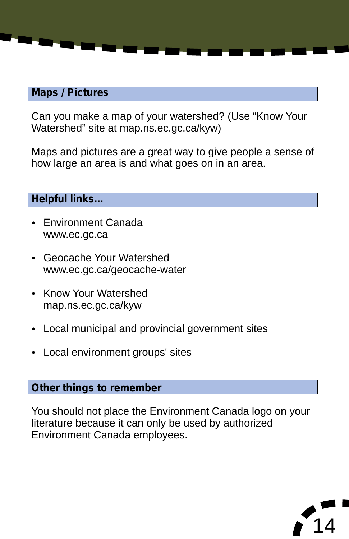#### **Maps / Pictures**

Can you make a map of your watershed? (Use "Know Your Watershed" site at map.ns.ec.gc.ca/kyw)

Maps and pictures are a great way to give people a sense of how large an area is and what goes on in an area.

### **Helpful links…**

- Environment Canada
- ?www.ec.gc.ca Geocache Your Watershed ?www.ec.gc.ca/geocache-water
- Know Your Watershed
- map.ns.ec.gc.ca/kyw<br>| Local municipal and • Local municipal and provincial government sites<br>• Local environment groups' sites
- Local environment groups' sites

#### **Other things to remember**

You should not place the Environment Canada logo on your literature because it can only be used by authorized Environment Canada employees.

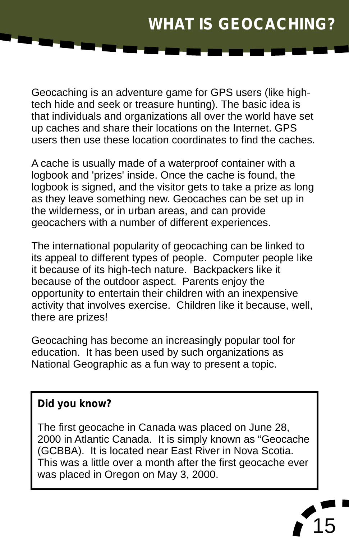# **WHAT IS GEOCACHING?**

Geocaching is an adventure game for GPS users (like hightech hide and seek or treasure hunting). The basic idea is that individuals and organizations all over the world have set up caches and share their locations on the Internet. GPS users then use these location coordinates to find the caches.

A cache is usually made of a waterproof container with a logbook and 'prizes' inside. Once the cache is found, the logbook is signed, and the visitor gets to take a prize as long as they leave something new. Geocaches can be set up in the wilderness, or in urban areas, and can provide geocachers with a number of different experiences.

The international popularity of geocaching can be linked to its appeal to different types of people. Computer people like it because of its high-tech nature. Backpackers like it because of the outdoor aspect. Parents enjoy the opportunity to entertain their children with an inexpensive activity that involves exercise. Children like it because, well, there are prizes!

Geocaching has become an increasingly popular tool for education. It has been used by such organizations as National Geographic as a fun way to present a topic.

### **Did you know?**

The first geocache in Canada was placed on June 28, 2000 in Atlantic Canada. It is simply known as "Geocache (GCBBA). It is located near East River in Nova Scotia. This was a little over a month after the first geocache ever was placed in Oregon on May 3, 2000.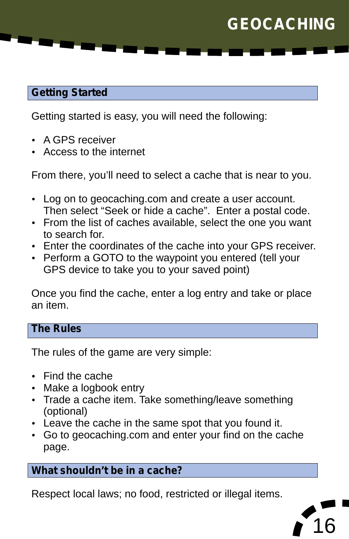# **GEOCACHING**

### **Getting Started**

Getting started is easy, you will need the following:<br>• A GPS receiver

- 
- A GPS receiver<br>• Access to the internet

From there, you'll need to select a cache that is near to you.

- Log on to geocaching.com and create a user account.<br>Then select "Seek or hide a cache". Enter a postal code.
- ?Then select "Seek or hide a cache". Enter a postal code. From the list of caches available, select the one you want to search for.<br>• Enter the coordinates of the cache into your GPS receiver.
- 
- ?Enter the coordinates of the cache into your GPS receiver. Perform a GOTO to the waypoint you entered (tell your GPS device to take you to your saved point)

Once you find the cache, enter a log entry and take or place an item.

#### **The Rules**

The rules of the game are very simple:

- 
- Find the cache<br>• Make a logbook entry
- Make a logbook entry<br>• Trade a cache item. Take something/leave something (optional)<br>• Leave the cache in the same spot that you found it.
- 
- Leave the cache in the same spot that you found it.<br>• Go to geocaching.com and enter your find on the cache page.

### **What shouldn't be in a cache?**

Respect local laws; no food, restricted or illegal items.

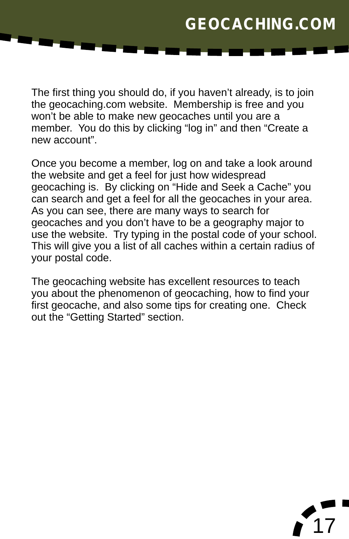The first thing you should do, if you haven't already, is to join the geocaching.com website. Membership is free and you won't be able to make new geocaches until you are a member. You do this by clicking "log in" and then "Create a new account".

Once you become a member, log on and take a look around the website and get a feel for just how widespread geocaching is. By clicking on "Hide and Seek a Cache" you can search and get a feel for all the geocaches in your area. As you can see, there are many ways to search for geocaches and you don't have to be a geography major to use the website. Try typing in the postal code of your school. This will give you a list of all caches within a certain radius of your postal code.

The geocaching website has excellent resources to teach you about the phenomenon of geocaching, how to find your first geocache, and also some tips for creating one. Check out the "Getting Started" section.

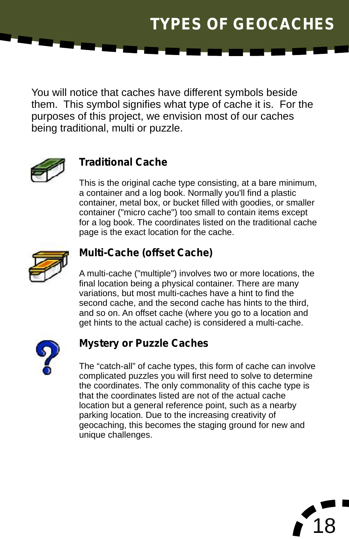# **TYPES OF GEOCACHES**

You will notice that caches have different symbols beside them. This symbol signifies what type of cache it is. For the purposes of this project, we envision most of our caches being traditional, multi or puzzle.



### **Traditional Cache**

This is the original cache type consisting, at a bare minimum, a container and a log book. Normally you'll find a plastic container, metal box, or bucket filled with goodies, or smaller container ("micro cache") too small to contain items except for a log book. The coordinates listed on the traditional cache page is the exact location for the cache.



### **Multi-Cache (offset Cache)**

A multi-cache ("multiple") involves two or more locations, the final location being a physical container. There are many variations, but most multi-caches have a hint to find the second cache, and the second cache has hints to the third, and so on. An offset cache (where you go to a location and get hints to the actual cache) is considered a multi-cache.



#### **Mystery or Puzzle Caches**

The "catch-all" of cache types, this form of cache can involve complicated puzzles you will first need to solve to determine the coordinates. The only commonality of this cache type is that the coordinates listed are not of the actual cache location but a general reference point, such as a nearby parking location. Due to the increasing creativity of geocaching, this becomes the staging ground for new and unique challenges.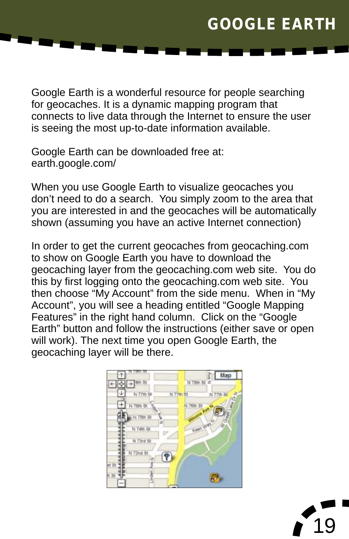### **GOOGLE EARTH**

Google Earth is a wonderful resource for people searching for geocaches. It is a dynamic mapping program that connects to live data through the Internet to ensure the user is seeing the most up-to-date information available.

Google Earth can be downloaded free at: earth.google.com/

When you use Google Earth to visualize geocaches you don't need to do a search. You simply zoom to the area that you are interested in and the geocaches will be automatically shown (assuming you have an active Internet connection)

In order to get the current geocaches from geocaching.com to show on Google Earth you have to download the geocaching layer from the geocaching.com web site. You do this by first logging onto the geocaching.com web site. You then choose "My Account" from the side menu. When in "My Account", you will see a heading entitled "Google Mapping Features" in the right hand column. Click on the "Google Earth" button and follow the instructions (either save or open will work). The next time you open Google Earth, the geocaching layer will be there.



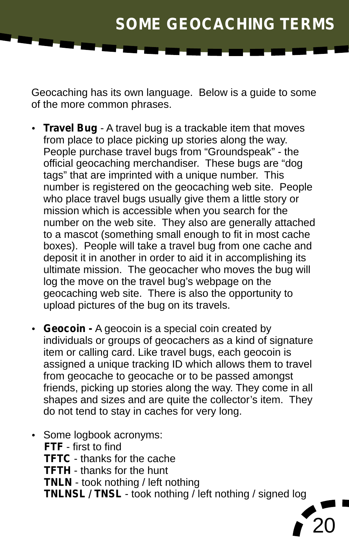### **SOME GEOCACHING TERMS**

Geocaching has its own language. Below is a guide to some of the more common phrases.

- **Travel Bug** A travel bug is a trackable item that moves from place to place picking up stories along the way. People purchase travel bugs from "Groundspeak" - the official geocaching merchandiser. These bugs are "dog tags" that are imprinted with a unique number. This number is registered on the geocaching web site. People who place travel bugs usually give them a little story or mission which is accessible when you search for the number on the web site. They also are generally attached to a mascot (something small enough to fit in most cache boxes). People will take a travel bug from one cache and deposit it in another in order to aid it in accomplishing its ultimate mission. The geocacher who moves the bug will log the move on the travel bug's webpage on the geocaching web site. There is also the opportunity to upload pictures of the bug on its travels.
- ?upload pictures of the bug on its travels. **Geocoin** A geocoin is a special coin created by individuals or groups of geocachers as a kind of signature item or calling card. Like travel bugs, each geocoin is assigned a unique tracking ID which allows them to travel from geocache to geocache or to be passed amongst friends, picking up stories along the way. They come in all shapes and sizes and are quite the collector's item. They ?do not tend to stay in caches for very long.
- Some logbook acronyms: **FTF** - first to find **TFTC** - thanks for the cache **TFTH** - thanks for the hunt **TNLN** - took nothing / left nothing **TNLNSL / TNSL** - took nothing / left nothing / signed log

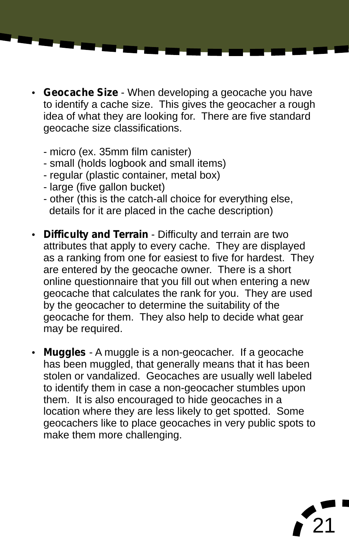- ?**Geocache Size**  When developing a geocache you have to identify a cache size. This gives the geocacher a rough idea of what they are looking for. There are five standard geocache size classifications.
	- micro (ex. 35mm film canister)
	- small (holds logbook and small items)
	- regular (plastic container, metal box)
	- large (five gallon bucket)
	- other (this is the catch-all choice for everything else,<br>details for it are placed in the cache description)
- ? details for it are placed in the cache description) **Difficulty and Terrain** Difficulty and terrain are two attributes that apply to every cache. They are displayed as a ranking from one for easiest to five for hardest. They are entered by the geocache owner. There is a short online questionnaire that you fill out when entering a new geocache that calculates the rank for you. They are used by the geocacher to determine the suitability of the geocache for them. They also help to decide what gear
- may be required.<br>• Muggles A muggle is a non-geocacher. If a geocache has been muggled, that generally means that it has been stolen or vandalized. Geocaches are usually well labeled to identify them in case a non-geocacher stumbles upon them. It is also encouraged to hide geocaches in a location where they are less likely to get spotted. Some geocachers like to place geocaches in very public spots to make them more challenging.

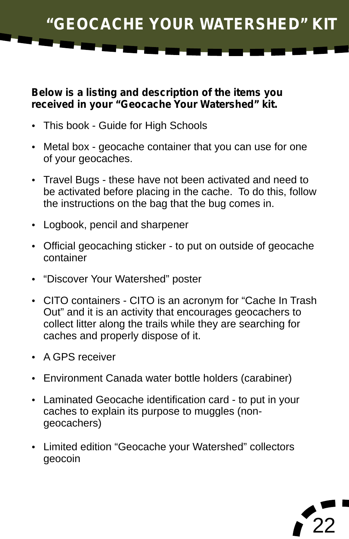**"GEOCACHE YOUR WATERSHED" KIT**

# **Below is a listing and description of the items you received in your "Geocache Your Watershed" kit.**<br>• This book - Guide for High Schools

- 
- ?This book Guide for High Schools Metal box geocache container that you can use for one
- ?of your geocaches. Travel Bugs these have not been activated and need to be activated before placing in the cache. To do this, follow the instructions on the bag that the bug comes in.<br>• Logbook, pencil and sharpener
- 
- ?Logbook, pencil and sharpener Official geocaching sticker to put on outside of geocache container<br>• "Discover Your Watershed" poster
- 
- ?"Discover Your Watershed" poster CITO containers CITO is an acronym for "Cache In Trash Out" and it is an activity that encourages geocachers to collect litter along the trails while they are searching for caches and properly dispose of it.<br>• A GPS receiver
- 
- Environment Canada water bottle holders (carabiner)
- ?Environment Canada water bottle holders (carabiner) Laminated Geocache identification card to put in your caches to explain its purpose to muggles (non-
- ?geocachers) Limited edition "Geocache your Watershed" collectors geocoin

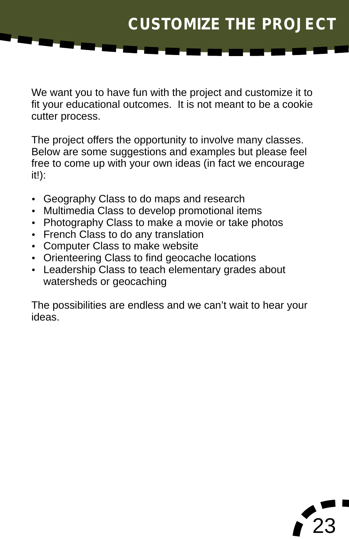### **CUSTOMIZE THE PROJECT**

We want you to have fun with the project and customize it to fit your educational outcomes. It is not meant to be a cookie cutter process.

The project offers the opportunity to involve many classes. Below are some suggestions and examples but please feel free to come up with your own ideas (in fact we encourage it!):

- Geography Class to do maps and research<br>• Multimedia Class to develop promotional items
- 
- Multimedia Class to develop promotional items<br>• Photography Class to make a movie or take ph • Photography Class to make a movie or take photos<br>• French Class to do any translation
- French Class to do any translation<br>• Computer Class to make website
- 
- Orienteering Class to find geocache locations
- ?Orienteering Class to find geocache locations Leadership Class to teach elementary grades about watersheds or geocaching

The possibilities are endless and we can't wait to hear your ideas.

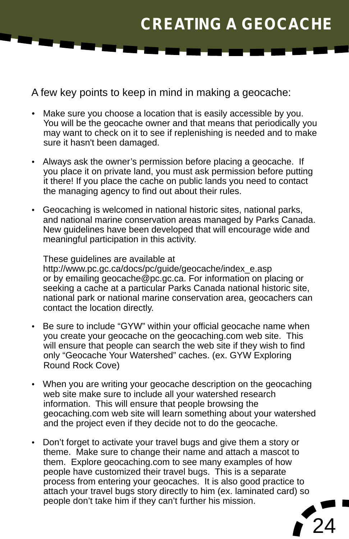# **CREATING A GEOCACHE**

A few key points to keep in mind in making a geocache:<br>• Make sure you choose a location that is easily accessible by y

- Make sure you choose a location that is easily accessible by you. You will be the geocache owner and that means that periodically you may want to check on it to see if replenishing is needed and to make
- ?sure it hasn't been damaged. Always ask the owner's permission before placing a geocache. If you place it on private land, you must ask permission before putting it there! If you place the cache on public lands you need to contact<br>the managing agency to find out about their rules.
- the managing agency to find out about their rules.<br>• Geocaching is welcomed in national historic sites, national parks, and national marine conservation areas managed by Parks Canada. New guidelines have been developed that will encourage wide and meaningful participation in this activity.

These guidelines are available at http://www.pc.gc.ca/docs/pc/guide/geocache/index\_e.asp or by emailing geocache@pc.gc.ca. For information on placing or seeking a cache at a particular Parks Canada national historic site, national park or national marine conservation area, geocachers can

- ?contact the location directly. Be sure to include "GYW" within your official geocache name when you create your geocache on the geocaching.com web site. This will ensure that people can search the web site if they wish to find only "Geocache Your Watershed" caches. (ex. GYW Exploring
- ?Round Rock Cove) When you are writing your geocache description on the geocaching web site make sure to include all your watershed research information. This will ensure that people browsing the geocaching.com web site will learn something about your watershed
- ?and the project even if they decide not to do the geocache. Don't forget to activate your travel bugs and give them a story or theme. Make sure to change their name and attach a mascot to them. Explore geocaching.com to see many examples of how people have customized their travel bugs. This is a separate process from entering your geocaches. It is also good practice to attach your travel bugs story directly to him (ex. laminated card) so people don't take him if they can't further his mission.

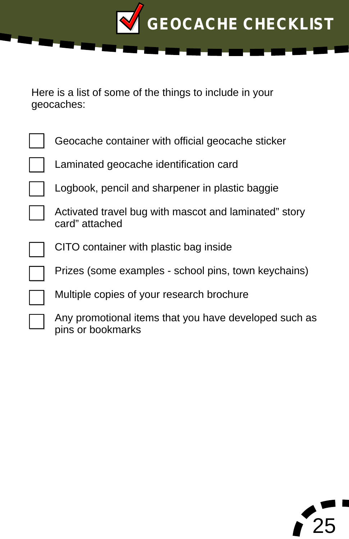

Here is a list of some of the things to include in your geocaches:

| Geocache container with official geocache sticker                         |
|---------------------------------------------------------------------------|
| Laminated geocache identification card                                    |
| Logbook, pencil and sharpener in plastic baggie                           |
| Activated travel bug with mascot and laminated" story<br>card" attached   |
| CITO container with plastic bag inside                                    |
| Prizes (some examples - school pins, town keychains)                      |
| Multiple copies of your research brochure                                 |
| Any promotional items that you have developed such a<br>nine or hookmarke |

Any promotional items that you have developed such as pins or bookmarks

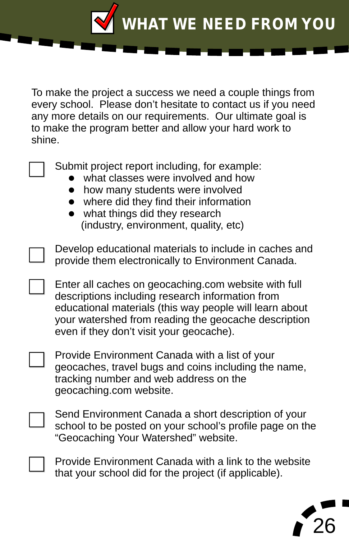**WHAT WE NEED FROM YOU**

To make the project a success we need a couple things from every school. Please don't hesitate to contact us if you need any more details on our requirements. Our ultimate goal is to make the program better and allow your hard work to shine.

Submit project report including, for example:

- what classes were involved and how
- how many students were involved
- where did they find their information
- what things did they research (industry, environment, quality, etc)

Develop educational materials to include in caches and provide them electronically to Environment Canada.

Enter all caches on geocaching.com website with full descriptions including research information from educational materials (this way people will learn about your watershed from reading the geocache description even if they don't visit your geocache).

Provide Environment Canada with a list of your geocaches, travel bugs and coins including the name, tracking number and web address on the geocaching.com website.

Send Environment Canada a short description of your school to be posted on your school's profile page on the "Geocaching Your Watershed" website.

Provide Environment Canada with a link to the website that your school did for the project (if applicable).

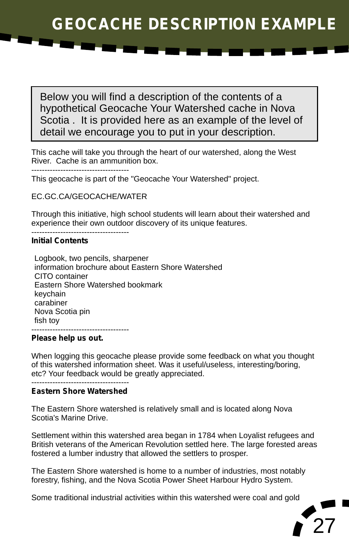Below you will find a description of the contents of a hypothetical Geocache Your Watershed cache in Nova Scotia . It is provided here as an example of the level of detail we encourage you to put in your description.

This cache will take you through the heart of our watershed, along the West River. Cache is an ammunition box.

-------------------------------------

This geocache is part of the "Geocache Your Watershed" project.

EC.GC.CA/GEOCACHE/WATER

Through this initiative, high school students will learn about their watershed and experience their own outdoor discovery of its unique features.

#### ------------------------------------- **Initial Contents**

Logbook, two pencils, sharpener information brochure about Eastern Shore Watershed CITO container Eastern Shore Watershed bookmark keychain carabiner Nova Scotia pin fish toy ------------------------------------- Logbook,<br>informatic<br>CITO con<br>Eastern S<br>keychain<br>carabiner<br>Nova Sco<br>fish toy

#### **Please help us out.**

When logging this geocache please provide some feedback on what you thought of this watershed information sheet. Was it useful/useless, interesting/boring, etc? Your feedback would be greatly appreciated.

#### ------------------------------------- **Eastern Shore Watershed**

The Eastern Shore watershed is relatively small and is located along Nova Scotia's Marine Drive.

Settlement within this watershed area began in 1784 when Loyalist refugees and British veterans of the American Revolution settled here. The large forested areas fostered a lumber industry that allowed the settlers to prosper.

The Eastern Shore watershed is home to a number of industries, most notably forestry, fishing, and the Nova Scotia Power Sheet Harbour Hydro System.

Some traditional industrial activities within this watershed were coal and gold

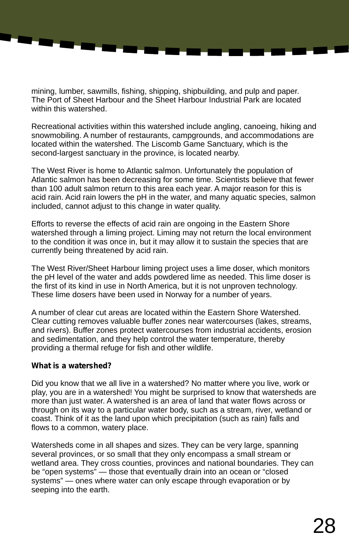mining, lumber, sawmills, fishing, shipping, shipbuilding, and pulp and paper. The Port of Sheet Harbour and the Sheet Harbour Industrial Park are located within this watershed.

Recreational activities within this watershed include angling, canoeing, hiking and snowmobiling. A number of restaurants, campgrounds, and accommodations are located within the watershed. The Liscomb Game Sanctuary, which is the second-largest sanctuary in the province, is located nearby.

The West River is home to Atlantic salmon. Unfortunately the population of Atlantic salmon has been decreasing for some time. Scientists believe that fewer than 100 adult salmon return to this area each year. A major reason for this is acid rain. Acid rain lowers the pH in the water, and many aquatic species, salmon included, cannot adjust to this change in water quality.

Efforts to reverse the effects of acid rain are ongoing in the Eastern Shore watershed through a liming project. Liming may not return the local environment to the condition it was once in, but it may allow it to sustain the species that are currently being threatened by acid rain.

The West River/Sheet Harbour liming project uses a lime doser, which monitors the pH level of the water and adds powdered lime as needed. This lime doser is the first of its kind in use in North America, but it is not unproven technology. These lime dosers have been used in Norway for a number of years.

A number of clear cut areas are located within the Eastern Shore Watershed. Clear cutting removes valuable buffer zones near watercourses (lakes, streams, and rivers). Buffer zones protect watercourses from industrial accidents, erosion and sedimentation, and they help control the water temperature, thereby providing a thermal refuge for fish and other wildlife.

#### **What is a watershed?**

Did you know that we all live in a watershed? No matter where you live, work or play, you are in a watershed! You might be surprised to know that watersheds are more than just water. A watershed is an area of land that water flows across or through on its way to a particular water body, such as a stream, river, wetland or coast. Think of it as the land upon which precipitation (such as rain) falls and flows to a common, watery place.

Watersheds come in all shapes and sizes. They can be very large, spanning several provinces, or so small that they only encompass a small stream or wetland area. They cross counties, provinces and national boundaries. They can be "open systems" — those that eventually drain into an ocean or "closed systems" — ones where water can only escape through evaporation or by seeping into the earth.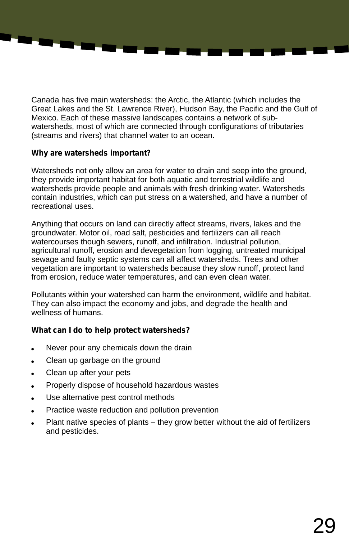Canada has five main watersheds: the Arctic, the Atlantic (which includes the Great Lakes and the St. Lawrence River), Hudson Bay, the Pacific and the Gulf of Mexico. Each of these massive landscapes contains a network of subwatersheds, most of which are connected through configurations of tributaries (streams and rivers) that channel water to an ocean.

#### **Why are watersheds important?**

a.

Watersheds not only allow an area for water to drain and seep into the ground, they provide important habitat for both aquatic and terrestrial wildlife and watersheds provide people and animals with fresh drinking water. Watersheds contain industries, which can put stress on a watershed, and have a number of recreational uses.

Anything that occurs on land can directly affect streams, rivers, lakes and the groundwater. Motor oil, road salt, pesticides and fertilizers can all reach watercourses though sewers, runoff, and infiltration. Industrial pollution, agricultural runoff, erosion and devegetation from logging, untreated municipal sewage and faulty septic systems can all affect watersheds. Trees and other vegetation are important to watersheds because they slow runoff, protect land from erosion, reduce water temperatures, and can even clean water.

Pollutants within your watershed can harm the environment, wildlife and habitat. They can also impact the economy and jobs, and degrade the health and wellness of humans.

#### **What can I do to help protect watersheds?**

- Never pour any chemicals down the drain
- Clean up garbage on the ground
- Clean up after your pets
- Properly dispose of household hazardous wastes
- Use alternative pest control methods
- Practice waste reduction and pollution prevention
- ?Plant native species of plants they grow better without the aid of fertilizers and pesticides.